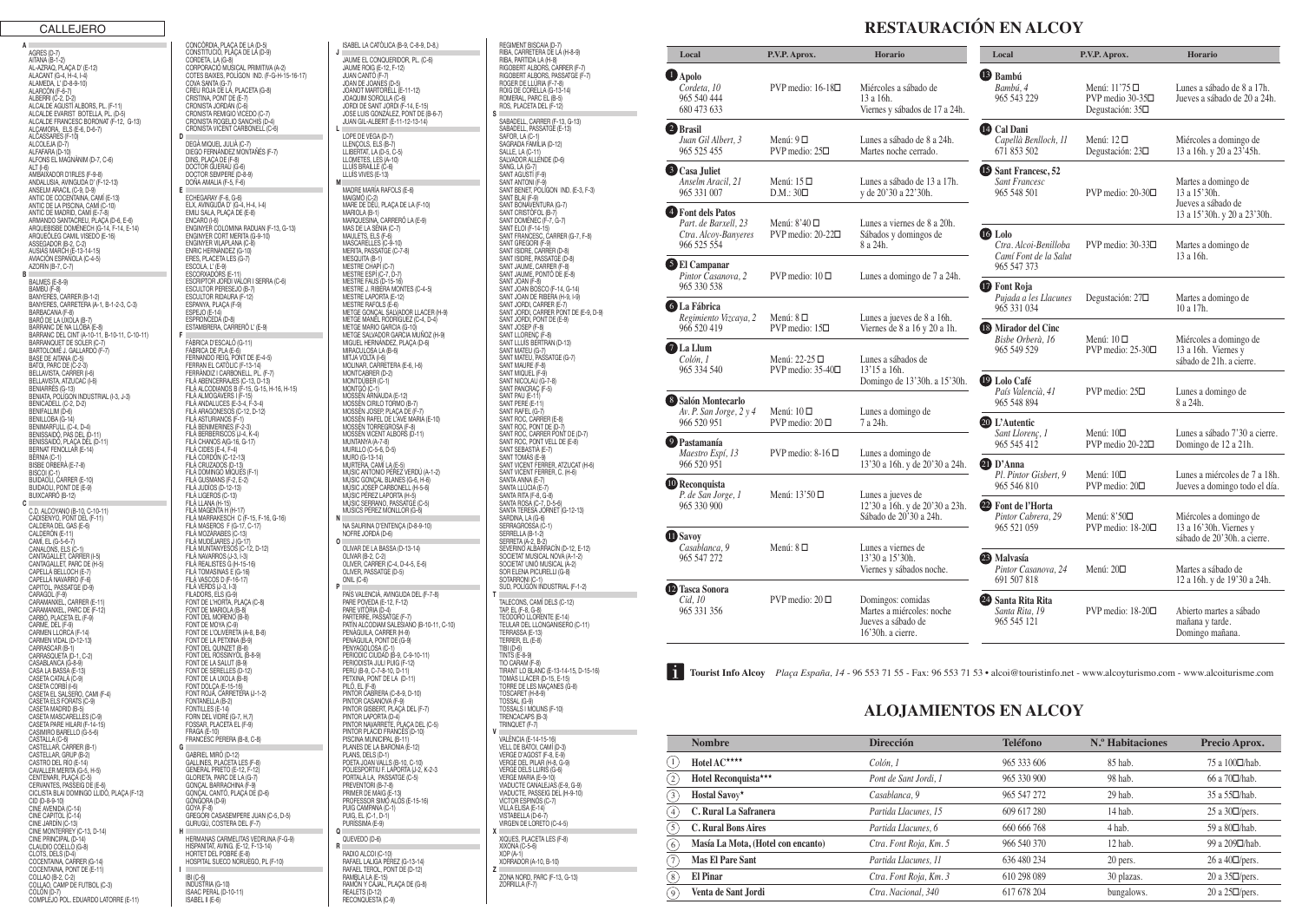**A**

**B**

AGRES (D-7)<br>AITANA (B-1-2 AITANA (B-1-2) AL-AZRAQ, PLAÇA D' (E-12) ALACANT (G-4, H-4, I-4) ALAMEDA, L' (D-8-9-10) ALARCÓN (F-6-7) ALBERRI (C-2, D-2) ALCALDE AGUSTÍ ALBORS, PL. (F-11) ALCALDE EVARIST BOTELLA, PL. (D-5) ALCALDE FRANCESC BORONAT (F-12, G-13) ALÇAMORA, ELS (E-6, D-6-7) ALCASSARES (F-10) ALCOLEJA (D-7) ALFAFARA (D-10) ALFONS EL MAGNÀNIM (D-7, C-6) ALT (I-6) AMBAIXADOR D'IRLES (F-9-8) ANDALUSIA, AVINGUDA D' (F-12-13) ANSELM ARACIL (C-9, D-9) ANTIC DE COCENTAINA, CAMÍ (E-13) ANTIC DE LA PISCINA, CAMÍ (C-10) ANTIC DE MADRID, CAMÍ (E-7-8) ARMANDO SANTACREU, PLAÇA (D-6, E-6) ARQUEBISBE DOMÉNECH (G-14, F-14, E-14) ARQUEÒLEG CAMIL VISEDO (E-16)<br>ASSEGADOR (B-2, C-2)<br>AUSIÀS MARCH (E-13-14-15)<br>AVIACIÓN ESPAÑOLA (C-4-5) AZORÍN (B-7, C-7) BALMES (E-8-9) BAMBÚ (F-8) BANYERES, CARRER (B-1-2) BANYERES, CARRETERA (A-1, B-1-2-3, C-3)<br>BARRACANA (F-8) BARBACANA (F-8) BARÓ DE LA UXOLA (B-7) BARRANC DE NA LLOBA (E-8) BARRANC DEL CINT (A-10-11, B-10-11, C-10-11) BARRANOUET DE SOLER (C-7) BARTOLOMÉ J. GALLARDO (F-7) BASE DE AITANA (C-5) BATOI, PARC DE (C-2-3) BELLAVISTA, CARRER (I-6) BELLAVISTA, ATZUCAC (I-6)<br>BENIARRÉS (G-13) BENIATA, POLÍGON INDUSTRIAL (I-3, J-3) BENICADELL (C-2, D-2) **BENIFALLIM (D-6)** BENILLOBA (G-14)<br>BENIMARELILL (C-4 D-4) BENIMARFULL (C-4, D-4) BENISSAIDÓ, PAS DEL (D-11) BENISSAIDÓ, PLAÇA DEL (D-11) BERNAT FENOLLAR (E-14) BÈRNIA (C-1) BISBE ORBERÀ (E-7-8) BISCOI (C-1) BUIDAOLI, CARRER (E-10) BUIDAOLI, PONT DE (E-9) BUIXCARRÓ (B-12) C.D. ALCOYANO (B-10, C-10-11) CADISENYO, PONT DEL (F-11) CALDERA DEL GAS (E-6) CALDERÓN (F-11) CAMÍ, EL (G-5-6-7) CANALONS, ELS (C-1) CANTAGALLET, CARRER (I-5) CANTAGALLET, PARC DE (H-5) CAPELLÀ BELLOCH (E-7) CAPELLÀ NAVARRO (F-6) CAPITOL, PASSATGE (D-9) CARAGOL (F-9) CARAMANXEL, CARRER (E-11) CARAMANXEL, PARC DE (F-12) CARBÓ, PLACETA EL (F-9) CARME, DEL (F-9) CARMEN LLORCA (F-14) CARMEN VIDAL (D-12-13) CARRASCAR (B-1) CARRASQUETA (D-1, C-2) CASABLANCA (G-8-9) CASA LA BASSA (E-13) CASETA CATALÀ (C-9) CASETA CORBÍ (I-6) CASETA EL SALSERO, CAMI (F-4) CASETA ELS FORATS (C-9) CASETA MADRID (B-5) CASETA MASCARELLES (C-9) CASETA PARE HILARI (F-14-15) CASIMIRO BARELLO (G-5-6) CASTALLA (C-6) CASTELLAR, CARRER (B-1) CASTELLAR, GRUP (B-2) CASTRO DEL RÍO (F-14) CAVALLER MERITA (G-5, H-5) CENTENARI, PLAÇA (C-5) CERVANTES, PASSEIG DE (E-6) CICLISTA BLAI DOMINGO LLIDÓ, PLAÇA (F-12) CID (D-8-9-10) CINE AVENIDA (C-14) CINE CAPITOL (C-14) CINE JARDÍN (C-13) CINE MONTERREY (C-13, D-14) CINE PRINCIPAL (D-14) CLAUDIO COELLO (G-8) CLOTS, DELS (D-4) COCENTAINA, CARRER (G-14) COCENTAINA, PONT DE (E-11) COLLAO (B-2, C-2) COLLAO, CAMP DE FUTBOL (C-3) COLÓN (D-7) COMPLEJO POL. EDUARDO LATORRE (E-11)

**C**

CONCÒRDIA, PLAÇA DE LA (D-5) CONSTITUCIÓ, PLAÇA DE LA (D-9) CORDETA, LA (G-8) CORPORACIÓ MUSICAL PRIMITIVA (A-2) COTES BAIXES, POLÍGON IND. (F-G-H-15-16-17) COVA SANTA (G-7) CREU ROJA DE LA, PLACETA (G-8) CRISTINA, PONT DE (E-7) CRONISTA JORDÁN (C-6) CRONISTA REMIGIO VICEDO (C-7) CRONISTA ROGELIO SANCHIS (D-4) CRONISTA VICENT CARBONELL (C-6) **D** DEGÀ MIQUEL JULIÀ (C-7) DIEGO FERNÁNDEZ MONTAÑÉS (F-7) DINS, PLAÇA DE (F-8) DOCTOR GUERAU (G-6) DOCTOR SEMPERE (D-8-9) DOÑA AMALIA (F-5, F-6) **E** ECHEGARAY (F-6, G-6) ELX, AVINGUDA D' (G-4, H-4, I-4) EMILI SALA, PLAÇA DE (E-8) ENCARO (I-6) ENGINYER COLOMINA RADUAN (F-13, G-13) ENGINYER CORT MERITA (G-9-10) ENGINYER VILAPLANA (C-8) ENRIC HERNÁNDEZ (G-10) ERES, PLACETA LES (G-7) ESCOLA, L' (E-9) ESCORXADORS (E-11) ESCRIPTOR JORDI VALOR I SERRA (C-6) ESCULTOR PERESEJO (B-7) ESCULTOR RIDAURA (F-12) ESPANYA, PLAÇA (F-9)<br>ESPANYA, PLAÇA (F-9) ESPRONCEDA (D-8) ESPRONCEDA (D-8) ESTAMBRERA, CARRERÓ L' (E-9) **F** FÀBRICA D'ESCALÓ (G-11) FÀBRICA DE PLA (E-6) FERNANDO REIG, PONT DE (E-4-5) FERRAN EL CATÒLIC (F-13-14) FERRÀNDIZ I CARBONELL, PL. (F-7) FILÀ ABENCERRAJES (C-13, D-13) FILÀ ALCODIANOS B (F-15, G-15, H-16, H-15) FILÀ ALMOGÀVERS I (F-15) FILÀ ANDALUCES (E-3-4, F-3-4) FILÀ ARAGONESOS (C-12, D-12) FILÀ ASTURIANOS (F-1) FILÀ BENIMERINES (F-2-3) FILÀ BERBERISCOS (J-4, K-4) FILÀ CHANOS A(G-16, G-17) FILÀ CIDES (E-4, F-4) FILÀ CORDÓN (C-12-13) FILÀ CRUZADOS (D-13) FILÀ DOMINGO MIQUES (F-1) FILÀ GUSMANS (F-2, E-2) FILÀ JUDÍOS (D-12-13) FILÀ LIGEROS (C-13) FILÀ LLANA (H-15)<br>FILÀ MAGENTA H (H-17) FILÀ MAGENTA H (H-17) FILÀ MARRAKESCH C (F-15, F-16, G-16) FILÀ MASEROS F (G-17, C-17) FILÀ MOZÁRABES (C-13) FILÀ MUDÉJARES J (G-17) FILÀ MUNTANYESOS (C-12, D-12) FILÀ NAVARROS (J-3, I-3) FILÀ REALISTES G (H-15-16) FILÀ TOMASINAS E (G-16) FILÀ VASCOS D (F-16-17) FILÀ VERDS (J-3, I-3) FILADORS, ELS (G-9) FONT DE L'HORTA, PLAÇA (C-8) FONT DE MARIOLA (B-8) FONT DEL MORENO (B-8) FONT DE MOYA (C-9) FONT DE L'OLIVERETA (A-8, B-8) FONT DE LA PETXINA (B-9) FONT DEL QUINZET (B-8) FONT DEL ROSSINYOL (B-8-9) FONT DE LA SALUT (B-9) FONT DE SERELLES (D-12) FONT DE LA UXOLA (B-8) FONT DOLÇA (E-15-16) FONT ROJA, CARRETERA (J-1-2) FONTANELLA (B-2) FONTILLES (E-14)<br>FORN DEL VIDRE (G-7 H 7 FORN DEL VIDRE (G-7, H,7) FOSSAR, PLACETA EL (F-9) FRAGA (E-10) FRANCESC PERERA (B-8, C-8) **G** GABRIEL MIRÓ (D-12) GALLINES, PLACETA LES (F-8) GENERAL PRIETO (E-12, F-12) GLORIETA, PARC DE LA (G-7) GONÇAL BARRACHINA (F-9) GONÇAL CANTÓ, PLAÇA DE (D-6) GÓNGORA (D-9)<br>GÓNGORA (D-9) GOYA (F-8) GREGORI CASASEMPERE JUAN (C-5, D-5) GURUGÚ, COSTERA DEL (F-7) **H** HERMANAS CARMELITAS VEDRUNA (F-G-9) HISPANITAT, AVING. (E-12, F-13-14) HORTET DEL POBRE (E-8) HOSPITAL SUECO NORUEGO, PL (F-10) **I** IBI (C-6) INDÚSTRIA (G-10) ISAAC PERAL (D-10-11) ISABEL II (E-6)

ISABEL LA CATÒLICA (B-9, C-8-9, D-8,)

**J**

**L**

**M**

JAUME EL CONQUERIDOR, PL. (C-6) JAUME ROIG (E-12, F-12) JUAN CANTÓ (F-7) JOAN DE JOANES (D-5) JOANOT MARTORELL (E-11-12) JOAQUIM SOROLLA (C-6) JORDI DE SANT JORDI (F-14, E-15) JOSE LUIS GONZÁLEZ, PONT DE (B-6-7) JUAN GIL-ALBERT (E-11-12-13-14) LOPE DE VEGA (D-7) LLENÇOLS, ELS (B-7) LLIBERTAT, LA (D-5, C-5) LLOMETES, LES (A-10) LLUÍS BRAILLE (C-6) LLUÍS VIVES (E-13) MADRE MARÍA RAFOLS (E-6) MAIGMÓ (C-2) MARE DE DÉU, PLAÇA DE LA (F-10) MARIOLA (B-1) MARQUESINA, CARRERÓ LA (E-9) MAS DE LA SÉNIA (C-7) MAULETS, ELS (F-6) MASCARELLES (C-9-10) MERITA, PASSATGE (C-7-8) MESQUITA (B-1)<br>MESQUITA (B-1)<br>MESTRE CHAPI (C-7) MESTRE CHAPÍ (C-7) MESTRE ESPÍ (C-7, D-7) MESTRE FAUS (D-15-16) MESTRE J. RIBERA MONTES (C-4-5) MESTRE LAPORTA (E-12) MESTRE RAFOLS (E-6)<br>MESTRE RAFOLS (E-6)<br>METGE GONCAL SALVADOR LLACER (H-9) METGE GONÇAL SALVADOR LLACER (H-9)<br>METGE MANÉL RODRÍGUEZ (C-4, D-4)<br>METGE MARIO GARCIA (G-10)<br>METGE SALVADOR GARCIA MUÑOZ (H-9)<br>MIGUEL HERNÁNDEZ, PLAÇA (D-6) MIRACULOSA LA (B-6) MITJA VOLTA (I-6) MOLINAR, CARRETERA (E-6, I-6) MONTCABRER (D-2) MONTDUBER (C-1) MONTGÓ (C-1) MOSSÉN ARNAUDA (E-12) MOSSÉN CIRILO TORMO (B-7 MOSSÉN JOSEP, PLAÇA DE (F-7) MOSSÉN RAFEL DE L'AVE MARIA (E-10) MOSSÉN TORREGROSA (F-8) MOSSÉN VICENT ALBORS (D-11) MUNTANYA (A-7-8) MURILLO (C-5-6, D-5) MURO (G-13-14) MURTERA, CAMÍ LA (E-5) MÚSIC ANTONIO PÉREZ VERDÚ (A-1-2) MÚSIC GONÇAL BLANES (G-6, H-6) MÚSIC JOSEP CARBONELL (H-5-6) MÚSIC PÉREZ LAPORTA (H-5) MÚSIC SERRANO, PASSATGE (C-5) MÚSICS PÉREZ MONLLOR (G-6) NA SAURINA D'ENTENÇA (D-8-9-10) NOFRE JORDÀ (D-6) OLIVAR DE LA BASSA (D-13-14) OLIVAR (B-2, C-2) OLIVER, CARRER (C-4, D-4-5, E-6) OLIVER, PASSATGE (D-5) ONIL (C-6) PAÍS VALENCIÀ, AVINGUDA DEL (F-7-8) PARE POVEDA (E-12, F-12) PARE VITORIA (D-4)<br>PARTERRE, PASSATGE (F-7) PATÍN ALCODIAM SALESIANO (B-10-11, C-10) PENÀGUILA, CARRER (H-9) PENÀGUILA, PONT DE (G-9) PENYAGOLOSA (C-1) PERIODIC CIUDAD (B-9, C-9-10-11) PERIODISTA JULI PUIG (F-12) PERÚ (B-9, C-7-8-10, D-11) PETXINA, PONT DE LA (D-11) PILÓ, EL (F-8) PINTOR CABRERA (C-8-9, D-10) PINTOR CASANOVA (F-9) PINTOR GISBERT, PLAÇA DEL (F-7) PINTOR LAPORTA (D-4) PINTOR NAVARRETE, PLAÇA DEL (C-5) PINTOR PLÀCID FRANCÉS (D-10) PISCINA MUNICIPAL (B-11) PLANES DE LA BARONIA (E-12) PLANS, DELS (D-1) POETA JOAN VALLS (B-10, C-10) POLIESPORTIU F. LAPORTA (J-2, K-2-3 PORTALÀ LA, PASSATGE (C-5) PREVENTORI (B-7-8) PRIMER DE MAIG (E-13) PROFESSOR SIMÓ ALÓS (E-15-16) PUIG CAMPANA (C-1) PUIG, EL (C-1, D-1) PURÍSSIMA (E-9) QUEVEDO (D-6) RADIO ALCOI (C-10) RAFAEL LALIGA PÉREZ (G-13-14) RAFAEL TEROL, PONT DE (D-12) RAMBLA LA (E-15) RAMÓN Y CAJAL, PLAÇA DE (G-8) REALETS (D-12) RECONQUESTA (C-9)

**N**

**O**

**P**

**Q**

**R**

## REGIMENT BISCAIA (D-7) RIBA, CARRETERA DE LA (H-8-9) RIBA, PARTIDA LA (H-8) RIGOBERT ALBORS, CARRER (F-7) RIGOBERT ALBORS, PASSATGE (F-7) ROGER DE LLÚRIA (F-7-8)<br>ROGER DE LLÚRIA (F-7-8) ROIG DE CORELLA (G-13-14) ROMERAL, PARC EL (B-5) ROS, PLACETA DEL (F-12) **S** SABADELL, CARRER (F-13, G-13) SABADELL, PASSATGE (E-13)<br>SAEOR LA (C-1) SAFOR, LA (C-1) SAGRADA FAMÍLIA (D-12) SALLE, LA (C-11) SALVADOR ALLENDE (D-6) SANG, LA (G-7) SANT AGUSTÍ (F-9) SANT ANTONI (F-9) SANT BENET, POLÍGON IND. (E-3, F-3) SANT BLAI (F-9) SANT BONAVENTURA (G-7) SANT CRISTÒFOL (B-7)<br>SANT CRISTÒFOL (B-7)<br>SANT DOMÉNEC (F-7, G-7 SANT DOMENEC (F-7, G-7)<br>SANT ELOI (F-14-15)<br>SANT FRANCESC, CARRER (G-7, F-8) SANT GREGORI (F-9) SANT ISIDRE, CARRER (D-8) SANT ISIDRE, PASSATGE (D-8) SANT JAUME, CARRER (F-8) SANT JAUME, PONTÓ DE (E-8) SANT JOAN (F-8) SANT JOAN BOSCO (F-14, G-14) SANT JOAN DE RIBERA (H-9, I-9) SANT JORDI, CARRER (E-7) SANT JORDI, CARRER PONT DE (E-9, D-9) SANT JORDI, PONT DE (E-9) SANT JOSEP (F-8) SANT LLORENÇ (F-8) SANT LLUÍS BERTRAN (D-13) SANT MATEU (G-7) SANT MATEU, PASSATGE (G-7) SANT MAURE (F-8) SANT MIQUEL (F-9) SANT NICOLAU (G-7-8) SANT PANCRAÇ (F-5) SANT PAU (E-11) SANT PERE (E-11) SANT RAFFL (G-7) SANT ROC, CARRER (E-8)<br>SANT ROC, PONT DE (D-SANT ROC, PONT DE (D-7) SANT ROC, CARRER PONT DE (D-7) SANT ROC, PONT VELL DE (E-8) SANT SEBASTIÀ (E-7 SANT TOMÀS (E-9) SANT VICENT FERRER, ATZUCAT (H-6) SANT VICENT FERRER, C. (H-6) SANTA ANNA (E-7) SANTA LLÚCIÀ (E-7 SANTA RITA (F-8, G-8) SANTA ROSA (C-7, D-5-6) SANTA TERESA JORNET (G-12-13) SARDINA, LA (G-6) SERRAGROSSA (C-1) SERRELLA (B-1-2)<br>SERRETA (A-2 B-2) SERRETA (A-2, B-2)<br>SEVERINO ALBARRACÍN (D-12, E-12) SOCIETAT MUSICAL NOVA (A-1-2) SOCIETAT UNIÓ MUSICAL (A-2) SOR ELENA PICURELLI (G-8) SOTARRONI (C-1) SUD, POLÍGON INDUSTRIAL (F-1-2) **T** TALECONS, CAMÍ DELS (C-12) TAP, EL (F-8, G-8) TEODORO LLORENTE (E-14) TEULAR DEL LLONGANISERO (C-11) TERRASSA (E-13) TERRER, EL (E-8) TIBI (D-6) TINTS (E-8-9) TIO CARAM (F-8) TIRANT LO BLANC (E-13-14-15, D-15-16) TOMÀS LLÀCER (D-15, E-15) TORRE DE LES MAÇANES (G-8) TOSCARET (H-8-9) TOSSAL (G-9) TOSSALS I MOLINS (F-10) TRENCACAPS (B-3) TRINQUET (F-7) **V** VALÈNCIA (E-14-15-16) VELL DE BATOI, CAMÍ (D-3) VERGE D'AGOST (F-8, E-9) VERGE DEL PILAR (H-8, G-9) VERGE DELS LLIRIS (G-6) VERGE MARIA (E-9-10) VIADUCTE CANALEJAS (E-9, G-9) VIADUCTE, PASSEIG DEL (H-9-10) VÍCTOR ESPINÓS (C-7) VILLA ELISA (F-14) VISTABELLA (D-6-7) VIRGEN DE LORETO (C-4-5) **X** XIQUES, PLACETA LES (F-8) XIXONA (C-5-6) XOP (A-1) XORRADOR (A-10, B-10) **Z** ZONA NORD, PARC (F-13, G-13) ZORRILLA (F-7)

| Local                                                                                        | P.V.P. Aprox.                                  | <b>Horario</b>                                                                            | Local                                                           | P.V.P. Aprox.                                         | <b>Horario</b>                                                                  |
|----------------------------------------------------------------------------------------------|------------------------------------------------|-------------------------------------------------------------------------------------------|-----------------------------------------------------------------|-------------------------------------------------------|---------------------------------------------------------------------------------|
| <sup>O</sup> Apolo<br>Cordeta, 10<br>965 540 444<br>680 473 633                              | PVP medio: 16-18□                              | Miércoles a sábado de<br>13 a 16h.<br>Viernes y sábados de 17 a 24h.                      | $\left(13\right)$<br>Bambú<br>Bambú, 4<br>965 543 229           | Menú: 11'75 □<br>PVP medio 30-35□<br>Degustación: 35□ | Lunes a sábado de 8 a 17h.<br>Jueves a sábado de 20 a 24h.                      |
| 2 Brasil<br>Juan Gil Albert, 3<br>965 525 455                                                | Menú: $9\Box$<br>PVP medio: 25□                | Lunes a sábado de 8 a 24h.<br>Martes noche cerrado.                                       | 14 Cal Dani<br>Capellà Benlloch, 11<br>671 853 502              | Menú: $12 \Box$<br>Degustación: 23□                   | Miércoles a domingo de<br>13 a 16h. y 20 a 23'45h.                              |
| <sup>3</sup> Casa Juliet<br>Anselm Aracil, 21<br>965 331 007<br><sup>4</sup> Font dels Patos | Menú: $15 \square$<br>$D.M.: 30\square$        | Lunes a sábado de 13 a 17h.<br>y de 20'30 a 22'30h.                                       | Sant Francesc, 52<br>Sant Francesc<br>965 548 501               | PVP medio: 20-30□                                     | Martes a domingo de<br>13 a 15'30h.<br>Jueves a sábado de                       |
| Part. de Barxell, 23<br>Ctra. Alcoy-Banyeres<br>966 525 554                                  | Menú: $8'40 \Box$<br>PVP medio: $20-22\square$ | Lunes a viernes de 8 a 20h.<br>Sábados y domingos de<br>8 a 24h.                          | 16 Lolo<br>Ctra. Alcoi-Benilloba<br>Camí Font de la Salut       | PVP medio: 30-33□                                     | 13 a 15'30h. y 20 a 23'30h.<br>Martes a domingo de<br>13 a 16h.                 |
| 5 El Campanar<br>Pintor Casanova, 2<br>965 330 538                                           | PVP medio: $10 \square$                        | Lunes a domingo de 7 a 24h.                                                               | 965 547 373<br><b>D</b> Font Roja<br>Pujada a les Llacunes      | Degustación: 270                                      | Martes a domingo de                                                             |
| <b>6</b> La Fábrica<br>Regimiento Vizcaya, 2<br>966 520 419                                  | Menú: $8 \Box$<br>PVP medio: 15□               | Lunes a jueves de 8 a 16h.<br>Viernes de 8 a 16 y 20 a 1h.                                | 965 331 034<br><b>18</b> Mirador del Cinc                       |                                                       | 10 a 17h.                                                                       |
| <b>D</b> La Llum<br>Colón, 1                                                                 | Menú: 22-25 □                                  | Lunes a sábados de                                                                        | Bisbe Orberà, 16<br>965 549 529                                 | Menú: $10 \Box$<br>PVP medio: $25-30\Box$             | Miércoles a domingo de<br>13 a 16h. Viernes y<br>sábado de 21h. a cierre.       |
| 965 334 540<br>8 Salón Montecarlo                                                            | PVP medio: $35-40\Box$                         | $13'15$ a 16h.<br>Domingo de 13'30h. a 15'30h.                                            | 19 Lolo Café<br>País Valencià, 41<br>965 548 894                | PVP medio: 25□                                        | Lunes a domingo de<br>8 a 24h.                                                  |
| Av. P. San Jorge, 2 y 4<br>966 520 951                                                       | Menú: $10\Box$<br>PVP medio: $20 \Box$         | Lunes a domingo de<br>7 a 24h.                                                            | 20 L'Autentic<br>Sant Llorenç, 1                                | Menú: $10\square$                                     | Lunes a sábado 7'30 a cierre.                                                   |
| <sup>9</sup> Pastamanía<br>Maestro Espí, 13<br>966 520 951                                   | PVP medio: $8-16$ $\square$                    | Lunes a domingo de<br>13'30 a 16h. y de 20'30 a 24h.                                      | 965 545 412<br>21 D'Anna                                        | PVP medio $20-22\square$                              | Domingo de 12 a 21h.                                                            |
| <b>ID</b> Reconquista<br>P. de San Jorge, 1                                                  | Menú: $13'50 \Box$                             | Lunes a jueves de                                                                         | Pl. Pintor Gisbert, 9<br>965 546 810                            | Menú: 10□<br>$PVP$ medio: $20\Box$                    | Lunes a miércoles de 7 a 18h.<br>Jueves a domingo todo el día.                  |
| 965 330 900<br><b>U</b> Savoy                                                                |                                                | 12'30 a 16h. y de 20'30 a 23h.<br>Sábado de 20'30 a 24h.                                  | Font de l'Horta<br>(22)<br>Pintor Cabrera, 29<br>965 521 059    | Menú: 8'50□<br>PVP medio: 18-20□                      | Miércoles a domingo de<br>13 a 16'30h. Viernes y<br>sábado de 20'30h. a cierre. |
| Casablanca, 9<br>965 547 272                                                                 | Menú: $8\Box$                                  | Lunes a viernes de<br>13'30 a 15'30h.<br>Viernes y sábados noche.                         | 23 Malvasía<br>Pintor Casanova, 24<br>691 507 818               | Menú: 20□                                             | Martes a sábado de<br>12 a 16h. y de 19'30 a 24h.                               |
| <sup>12</sup> Tasca Sonora<br>Cid, 10<br>965 331 356                                         | PVP medio: $20 \Box$                           | Domingos: comidas<br>Martes a miércoles: noche<br>Jueves a sábado de<br>16'30h. a cierre. | (24)<br><b>Santa Rita Rita</b><br>Santa Rita, 19<br>965 545 121 | PVP medio: 18-20□                                     | Abierto martes a sábado<br>mañana y tarde.<br>Domingo mañana.                   |

# **ALOJAMIENTOS EN ALCOY**

|                                 | <b>Nombre</b>                      | <b>Dirección</b>       | <b>Teléfono</b> | N.º Habitaciones | Precio Aprox.                              |
|---------------------------------|------------------------------------|------------------------|-----------------|------------------|--------------------------------------------|
| $\left(1\right)$                | Hotel AC****                       | Colón. 1               | 965 333 606     | 85 hab.          | 75 a 100□/hab.                             |
| $\Large \textcircled{\small 2}$ | Hotel Reconquista***               | Pont de Sant Jordi, 1  | 965 330 900     | 98 hab.          | 66 a 70□/hab.                              |
| (3)                             | Hostal Savoy*                      | Casablanca, 9          | 965 547 272     | 29 hab.          | 35 a 55□/hab.                              |
| (4)                             | C. Rural La Safranera              | Partida Llacunes, 15   | 609 617 280     | 14 hab.          | 25 a $30\square$ /pers.                    |
| $\circledS$                     | <b>C. Rural Bons Aires</b>         | Partida Llacunes, 6    | 660 666 768     | 4 hab.           | 59 a 80□/hab.                              |
| (6)                             | Masía La Mota, (Hotel con encanto) | Ctra. Font Roja, Km. 5 | 966 540 370     | $12$ hab.        | 99 a 209 <sup><math>\Box</math>/hab.</sup> |
| $\left(7\right)$                | Mas El Pare Sant                   | Partida Llacunes, 11   | 636 480 234     | 20 pers.         | 26 a $40\square$ /pers.                    |
| (8)                             | <b>El Pinar</b>                    | Ctra. Font Roja, Km. 3 | 610 298 089     | 30 plazas.       | 20 a $35\square$ /pers.                    |
| (9)                             | Venta de Sant Jordi                | Ctra. Nacional, 340    | 617 678 204     | bungalows.       | 20 a $25\square$ /pers.                    |

## **RESTAURACIÓN EN ALCOY**

**Tourist Info Alcoy** *Plaça España, 14* - 96 553 71 55 - Fax: 96 553 71 53 • alcoi@touristinfo.net - www.alcoyturismo.com - www.alcoiturisme.com

### CALLEJERO